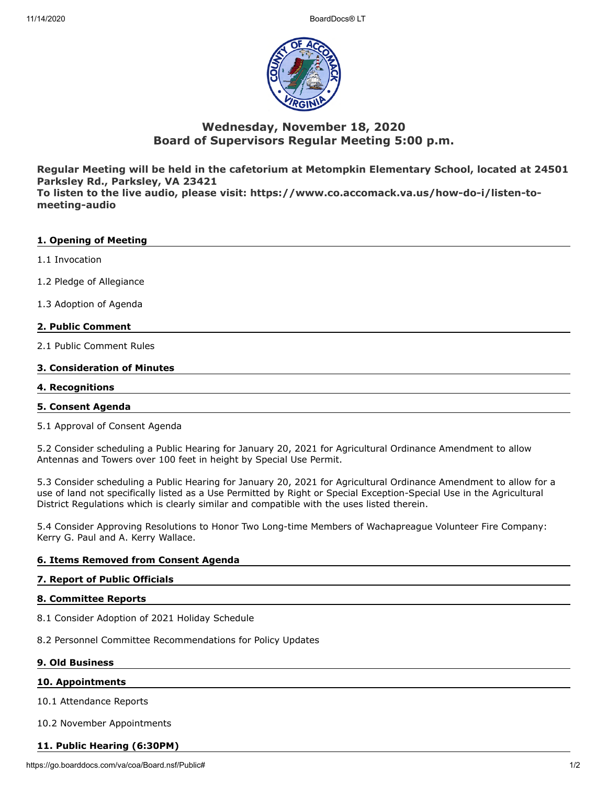

# **Wednesday, November 18, 2020 Board of Supervisors Regular Meeting 5:00 p.m.**

**Regular Meeting will be held in the cafetorium at Metompkin Elementary School, located at 24501 Parksley Rd., Parksley, VA 23421**

**To listen to the live audio, please visit: https://www.co.accomack.va.us/how-do-i/listen-tomeeting-audio**

# **1. Opening of Meeting**

- 1.1 Invocation
- 1.2 Pledge of Allegiance
- 1.3 Adoption of Agenda

# **2. Public Comment**

2.1 Public Comment Rules

# **3. Consideration of Minutes**

## **4. Recognitions**

### **5. Consent Agenda**

5.1 Approval of Consent Agenda

5.2 Consider scheduling a Public Hearing for January 20, 2021 for Agricultural Ordinance Amendment to allow Antennas and Towers over 100 feet in height by Special Use Permit.

5.3 Consider scheduling a Public Hearing for January 20, 2021 for Agricultural Ordinance Amendment to allow for a use of land not specifically listed as a Use Permitted by Right or Special Exception-Special Use in the Agricultural District Regulations which is clearly similar and compatible with the uses listed therein.

5.4 Consider Approving Resolutions to Honor Two Long-time Members of Wachapreague Volunteer Fire Company: Kerry G. Paul and A. Kerry Wallace.

# **6. Items Removed from Consent Agenda**

### **7. Report of Public Officials**

### **8. Committee Reports**

8.1 Consider Adoption of 2021 Holiday Schedule

8.2 Personnel Committee Recommendations for Policy Updates

### **9. Old Business**

### **10. Appointments**

10.1 Attendance Reports

10.2 November Appointments

# **11. Public Hearing (6:30PM)**